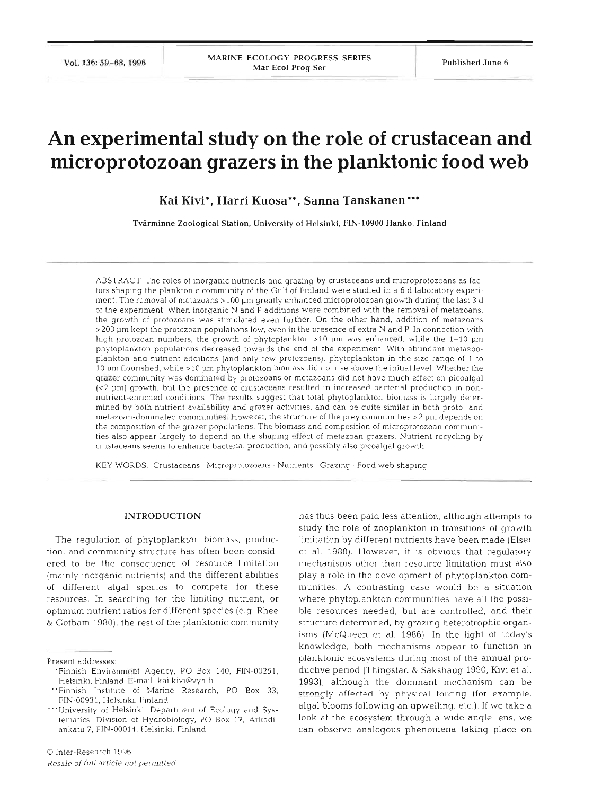# **An experimental study on the role of crustacean and microprotozoan grazers in the planktonic food web**

 $K$ ai Kivi\*, Harri Kuosa\*\*, Sanna Tanskanen\*\*\*

Tvarminne Zoological Station. University **of** Helsinki, FIN-10900 Hanko, Finland

ABSTRACT<sup>.</sup> The roles of inorganic nutrients and grazing by crustaceans and microprotozoans as factors shaping the planktonic community of the Gulf of Finland were studied in a 6 d laboratory experiment. The removal of metazoans >l00 pin greatly enhanced microprotozoan growth during the last **3** d of the experiment. When inorganic N and P additions were combined with the removal of metazoans, the growth of protozoans was stimulated even further. On the other hand, addition of metazoans >200 pm kept the protozoan populations low, even in the presence of extra N and P. In connection with high protozoan numbers, the growth of phytoplankton >10 µm was enhanced, while the 1-10 µm phytoplankton populations decreased towards the end of the experiment. With abundant metazooplankton and nutrient additions (and only few protozoans), phytoplankton in the size range of 1 to 10 pm flourished, while >l0 pm phytoplankton biomass did not rise above the initlal level. Whether the grazer community was dominatcd by protozoans or metazoans did not have much effect on picoalgal (<2 pm) growth, but the presence of crustaceans resulted in increased bacterial production in nonnutrient-enriched conditions. The results suggest that total phytoplankton biomass is largely determined by both nutrient availability and grazer activities, and can be quite similar in both proto- and metazoan-dominated communities. However, the structure of the prey communities  $>2$   $\mu$ m depends on the composition of the grazer populations. The biomass and composition of microprotozoan communities also appear largely to depend on the shaping effect of metazoan grazers. Nutrient recycling by crustaceans seems to enhance bactenal production, and possibly also picoalgal growth

KEY WORDS: Crustaceans Microprotozoans . Nutrients Grazing . Food web shaping

#### **INTRODUCTION**

The regulation of phytoplankton biomass, production, and community structure has often been considered to be the consequence of resource limitation (mainly inorganic nutrients) and the different abilities of different algal species to compete for these resources. In searching for the limiting nutrient, or optimum nutrient ratios for different species (e.g Rhee & Gotham 1980), the rest of the planktonic community

Present addresses:

has thus been paid less attention, although attempts to study the role of zooplankton in transitions of growth limitation by different nutrients have been made (Elser et al. 1988). However, it is obvious that regulatory mechanisms other than resource limitation must also play a role in the development of phytoplankton communities. A contrasting case would be a situation where phytoplankton communities have all the possi- 'ble resources needed, but are controlled, and their structure determined, by grazing heterotrophic organisms (McQueen et al. 1986). In the light of today's knowledge, both mechanisms appear to function in planktonic ecosystems during most of the annual productive period (Thingstad & Sakshaug 1990, Kivi et al. 1993), although the dominant mechanism can be strongly affected by physical forcing (for example, algal blooms following an upwelling, etc.). If we take a look at the ecosystem through a wide-angle lens, we can observe analogous phenomena taking place on

<sup>&#</sup>x27;Finnish Environment Agency, PO Box 140, FIN-00251, Helsinki, Finland. E-mall: kai.kivi@vyh.fi

<sup>&</sup>quot;Finnish Institute of Marine Research. PO Box **33,**  FIN-00931, Helsinki, Finland

<sup>&</sup>quot;'University of Helsinki, Department of Ecology and Systematics, Division of Hydrobiology, PO Box 17, Arkadiankatu 7, FIN-00014, Helsinki, Finland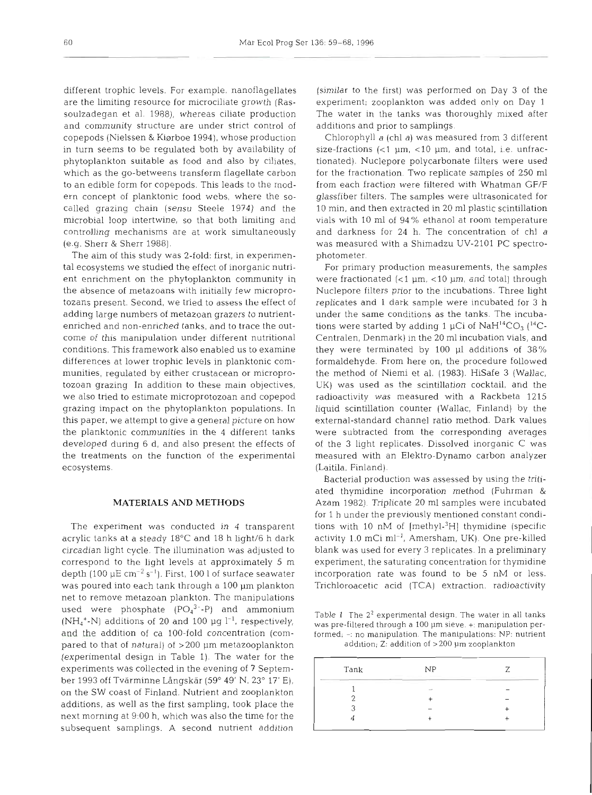different trophic levels. For example, nanoflagellates are the limiting resource for microciliate growth (Rassoulzadegan et al. 1988), whereas ciliate production and community structure are under strict control of copepods (Nielssen & Kiørboe 1994), whose production in turn seems to be regulated both by availability of phytoplankton suitable as food and also by ciliates, which as the go-betweens transform flagellate carbon to an edible form for copepods. This leads to the modern concept of planktonic food webs, where the socalled grazing chain (sensu Steele 1974) and the microbial loop intertwine, so that both limiting and controlling mechanisms are at work simultaneously (e.g. Sherr & Sherr 1988).

The aim of this study was 2-fold: first, in experimental ecosystems we studied the effect of inorganic nutrient enrichment on the phytoplankton community in the absence of metazoans with initially few microprotozans present. Second, we tried to assess Lhe effect of adding large numbers of metazoan grazers to nutrientenriched and non-enriched tanks, and to trace the outcome of this manipulation under different nutritional conditions. This framework also enabled us to examine differences at lower trophic levels in planktonic communities, regulated by either crustacean or microprotozoan grazing In addition to these main objectives, we also tried to estimate microprotozoan and copepod grazing impact on the phytoplankton populations. In this paper, we attempt to give a general picture on how the planktonic communities in the 4 different tanks developed during 6 d, and also present the effects of the treatments on the function of the experimental ecosystems.

## MATERIALS AND METHODS

The experiment was conducted in 4 transparent acrylic tanks at a steady 18°C and 18 h light/6 h dark circadian light cycle. The illumination was adjusted to correspond to the light levels at approximately 5 m depth (100  $\mu$ E cm<sup>-2</sup> s<sup>-1</sup>). First, 100 l of surface seawater was poured into each tank through a 100 µm plankton net to remove metazoan plankton. The manipulations used were phosphate  $(PO_4^{3-}P)$  and ammonium (NH<sub>4</sub><sup>+</sup>-N) additions of 20 and 100  $\mu$ g l<sup>-1</sup>, respectively, and the addition of ca 100-fold concentration (compared to that of natural) of  $>$  200  $\mu$ m metazooplankton (experimental design in Table 1). The water for the experiments was collected in the evening of **7** September 1993 off Tvarminne LAngskar (59" 49' N, *23"* 17' E), on the SW coast of Finland. Nutrient and zooplankton additions, as well as the first sampling, took place the next morning at 9:00 h, which was also the time for the subsequent samplings. **A** second nutrient addition

(similar to the first) was performed on Day 3 of the experiment; zooplankton was added only on Day 1 The water in the tanks was thoroughly mixed after additions and prior to samplings.

Chlorophyll a (chl a) was measured from 3 different size-fractions  $\left($ <1  $\mu$ m, <10  $\mu$ m, and total, i.e. unfractionated). Nuclepore polycarbonate filters were used for the fractionation. Two replicate samples of 250 m1 from each fraction were filtered with Whatman GF/F glassfiber filters. The samples were ultrasonicated for 10 min, and then extracted in 20 m1 plastic scintillation vials with 10 m1 of 94% ethanol at room temperature and darkness for 24 h. The concentration of chl a was measured with a Shimadzu UV-2101 PC spectrophotometer.

For primary production measurements, the samples were fractionated  $\left($  <1  $\mu$ m, <10  $\mu$ m, and total) through Nuclepore filters prior to the incubations. Three light replicates and 1 dark sample were incubated for 3 h under the same conditions as the tanks. The incubations were started by adding 1  $\mu$ Ci of NaH<sup>14</sup>CO<sub>3</sub> (<sup>14</sup>C-Centralen, Denmark) in the 20 m1 incubation vials, and they were terminated by 100 p1 additions of 38% formaldehyde. From here on, the procedure followed the method of Niemi et al. (1983). HiSafe 3 (Wallac, UK) was used as the scintillation cocktail, and the radioactivity was measured with a Rackbeta 1215 liquid scintillation counter (Wallac, Finland) by the external-standard channel ratio method. Dark values were subtracted from the corresponding averages of the 3 light replicates. Dissolved inorganic C was measured with an Elektro-Dynamo carbon analyzer (Laitila. Finland).

Bacterial production was assessed by using the tritiated thymidine incorporation method (Fuhrman & Azam 1982). Triplicate 20 m1 samples were incubated for 1 h under the previously mentioned constant conditions with 10 nM of [methyl- ${}^{3}H$ ] thymidine (specific activity 1.0 mCi  $ml^{-1}$ , Amersham, UK). One pre-killed blank was used for every 3 replicates. In a preliminary experiment, the saturating concentration for thymidine incorporation rate was found to be 5 nM or less. Trichloroacetic acid (TCA) extraction, radioactivity

Table 1 The **22** experimental design. The water in all tanks was pre-filtered through a 100 um sieve. +: manipulation performed,  $-$ : no manipulation. The manipulations: NP: nutrient addition;  $Z$ : addition of  $>$  200  $\mu$ m zooplankton

| Tank | NP           |  |
|------|--------------|--|
|      | _____<br>$-$ |  |
|      |              |  |
|      |              |  |
|      |              |  |
|      |              |  |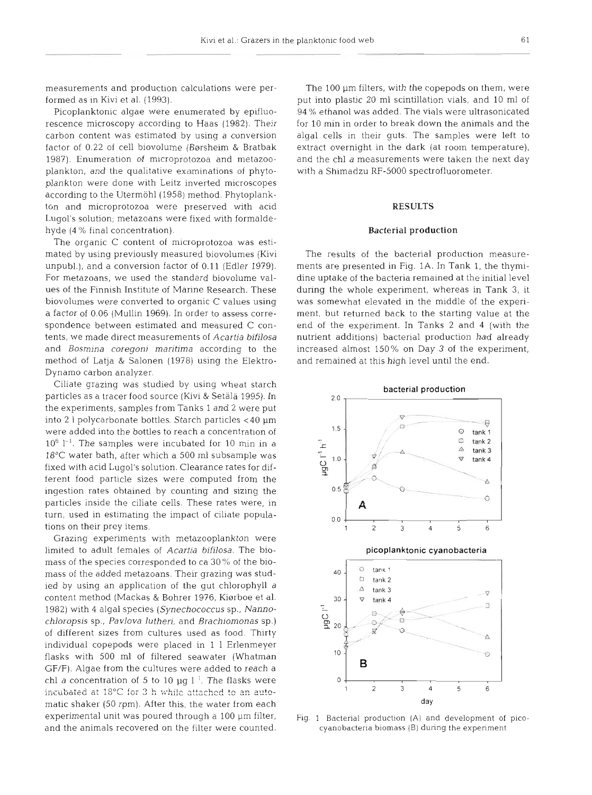measurements and production calculations were performed as in Kivi et al. (1993).

Picoplanktonic algae were enumerated by epifluorescence microscopy according to Haas (1982). Their carbon content was estimated by using a conversion factor of 0.22 of cell biovolume (Børsheim & Bratbak 1987). Enumeration of microprotozoa and metazooplankton, and the qualitative examinations of phytoplankton were done with Leitz inverted microscopes according to the Utermohl (1958) method. Phytoplankton and microprotozoa were preserved with acid Lugol's solution; metazoans were fixed with formaldehyde (4 % final concentration).

The organic C content of microprotozoa was estimated by using previously measured biovolumes (Kivi unpubl.), and a conversion factor of 0.11 (Edler 1979). For metazoans, we used the standard biovolume values of the Finnish Institute of Marine Research. These biovolumes were converted to organic C values using a factor of 0.06 (Mullin 1969). In order to assess correspondence between estimated and measured C contents, we made direct measurements of *Acartia bifilosa*  and *Bosmina coregoni maritima* according to the method of Latja & Salonen (1978) using the Elektro-Dynamo carbon analyzer.

Ciliate grazing was studied by using wheat starch particles as a tracer food source (Kivi & Setala 1995). In the experiments, samples from Tanks 1 and 2 were put into 2 l polycarbonate bottles. Starch particles  $<$  40  $\mu$ m were added into the bottles to reach a concentration of  $10^6$  l<sup>-1</sup>. The samples were incubated for 10 min in a 18°C water bath, after which a 500 m1 subsample was fixed with acid Lugol's solution. Clearance rates for different food particle sizes were computed from the ingestion rates obtained by counting and sizing the particles inside the ciliate cells. These rates were, in turn, used in estimating the impact of ciliate populations on their prey items.

Grazing experiments with metazooplankton were limited to adult females of *Acartia hifilosa.* The biomass of the species corresponded to ca 30% of the biomass of the added metazoans. Their grazing was studied by using an application of the gut chlorophyll *<sup>a</sup>* content method (Mackas & Bohrer 1976, Kiørboe et al. 1982) wlth 4 algal species *(Synechococcus* sp., *Nannochloropsis* sp., *Pavlova lutheri,* and *Brachiomonas* sp.) of different sizes from cultures used as food. Thirty individual copepods were placed in 1 1 Erlenmeyer flasks with 500 m1 of filtered seawater (Whatman GF/F). Algae from the cultures were added to reach a chl *a* concentration of 5 to 10  $\mu$ g l<sup>-1</sup>. The flasks were  $\frac{1}{2}$  incubated at 18°C for 3 h while attached to an automatic shaker (50 rpm). After this, the water from each experimental unit was poured through a 100 µm filter, and the animals recovered on the filter were counted.

The 100 um filters, with the copepods on them, were put into plastic 20 m1 scintillation vials, and 10 m1 of 94 % ethanol was added. The vials were ultrasonicated for 10 min in order to break down the animals and the algal cells in their guts. The samples were left to extract overnight in the dark (at room temperature), and the chl a measurements were taken the next day with a Shimadzu RF-5000 spectrofluorometer.

## **RESULTS**

#### **Bacterial production**

The results of the bacterial production measurements are presented in Fig. 1A. In Tank 1, the thymidine uptake of the bacteria remained at the initial level during the whole experiment, whereas in Tank **3,** it was somewhat elevated in the middle of the experiment, but returned back to the starting value at the end of the experiment. In Tanks 2 and 4 (with the nutrient additions) bacterial production had already increased almost 150% on Day 3 of the experiment, and remained at this high level until the end.



Fig. 1 Bacterial production (A) and development of picocyanobacteria biomass (B) during the experiment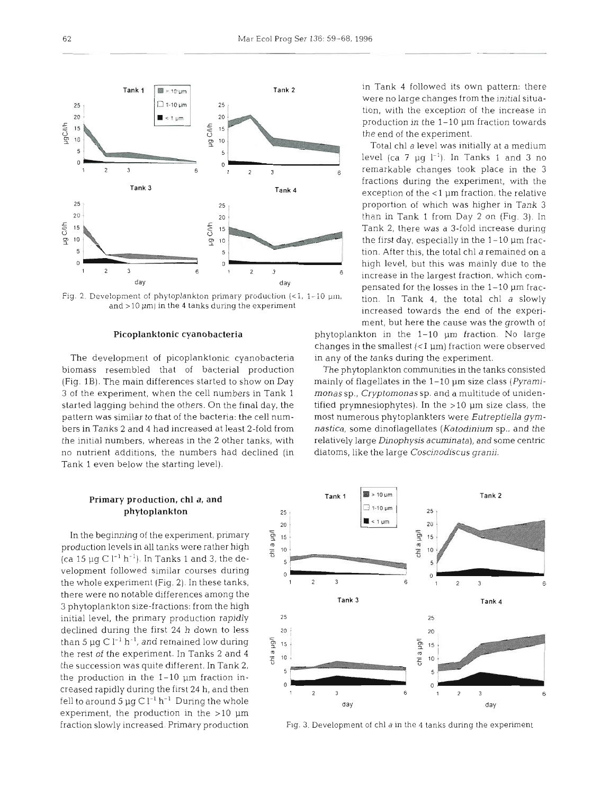

Fig. 2. Development of phytoplankton primary production (<1, 1-10  $\mu$ m, and  $>$  10  $\mu$ m) in the 4 tanks during the experiment

#### Picoplanktonic cyanobacteria

The development of picoplanktonic cyanobacteria biomass resembled that of bacterial production (Fig. **1B).** The main differences started to show on Day 3 of the experiment, when the cell numbers in Tank 1 started lagging behind the others. On the final day, the pattern was similar to that of the bacteria: the cell numbers in Tanks 2 and 4 had increased at least 2-fold from the initial numbers, whereas in the 2 other tanks, with no nutrient additions, the numbers had declined (in Tank 1 even below the starting level).

# Primary production, chl a, and phytoplankton

In the beginning of the experiment, primary  $\frac{3}{2}$  + 15<br>roduction levels in all tanks were rather high  $\frac{9}{2}$  + 16 production levels in all tanks were rather high (ca 15  $\mu$ g C l<sup>-1</sup> h<sup>-1</sup>). In Tanks 1 and 3, the development followed similar courses during the whole experiment (Fig. 2). In these tanks, there were no notable differences among the *3* phytoplankton size-fractions: from the high initial level, the primary production rapidly 25 25 declined during the first 24 h down to less <br>than 5  $\mu$ g C l<sup>-1</sup> h<sup>-1</sup>, and remained low during  $\frac{c_0}{2}$  15<br>the rest of the experiment. In Tanks 2 and 4  $\frac{a_0}{2}$  10<br>the succession was quite different. In Tank 2 than 5 µg C l<sup>-1</sup> h<sup>-1</sup>, and remained low during  $\frac{1}{2}$  15 the rest of the experiment. In Tanks 2 and 4  $\frac{2}{5}$  10 the succession was quite different. In Tank 2, the production in the 1-10 pm fraction inexperiment, the production in the  $>10 \mu m$ 

in Tank 4 followed its own pattern: there were no large changes from the initial situation, with the exception of the increase in production in the 1-10 pm fraction towards the end of the experiment.

Total chl a level was initially at a medium level (ca  $7 \mu g l^{-1}$ ). In Tanks 1 and 3 no remarkable changes took place in the 3 fractions during the experiment, with the exception of the  $<$ 1  $\mu$ m fraction, the relative proportion of which was higher in Tank **3**  than in Tank 1 from Day 2 on (Fig. 3). In Tank 2, there was a 3-fold increase during the first day, especially in the  $1-10 \mu m$  fraction. After this, the total chl a remained on a high level, but this was mainly due to the increase in the largest fraction, which compensated for the losses in the 1-10 pm fraction. In Tank 4, the total chl a slowly increased towards the end of the experiment, but here the cause was the growth of phytoplankton in the 1-10 pm fraction. No large

changes in the smallest  $( $1 \mu m$ ) fraction were observed$ in any of the tanks during the experiment.

The phytoplankton communities in the tanks consisted mainly of flagellates in the  $1-10$   $\mu$ m size class (Pyramimonassp., Cryptomonas sp. and a multitude of unidentified prymnesiophytes). In the  $>10$   $\mu$ m size class, the most numerous phytoplankters were Eutreptiella *gym*nastica, some dinoflagellates (Katodinium sp., and the relatively large Dinophysis acuminata), and some centric diatoms, like the large Coscinodiscus granii.



fraction slowly increased. Primary production Fig. 3. Development of chl a in the 4 tanks during the experiment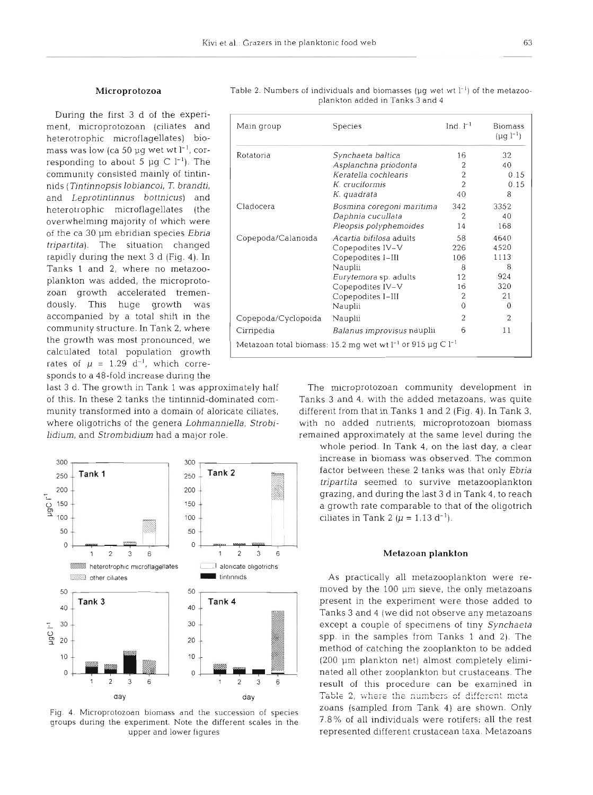#### Microprotozoa

During the first 3 d of the experiment, microprotozoan (ciliates and heterotrophic microflagellates) biomass was low (ca 50  $\mu$ q wet wt l<sup>-1</sup>, corresponding to about 5  $\mu$ g C l<sup>-1</sup>). The community consisted mainly of tintinnids (Tin tinnopsis lobiancoi, *T.* brandti, and Leprotintinnus bottnicus) and heterotrophic microflagellates (the overwhelming majority of which were of the ca 30 µm ebridian species Ebria tripartita). The situation changed rapidly during the next 3 d (Fig. 4). In Tanks 1 and 2, where no metazooplankton was added, the microprotozoan growth accelerated tremendously. This huge growth was accompanied by a total shift in the community structure. In Tank 2, where the growth was most pronounced, we calculated total population growth rates of  $\mu = 1.29$  d<sup>-1</sup>, which corresponds to a 48-fold Increase during the

last 3 d. The growth in Tank 1 was approximately half The microprotozoan community development in hadium, and Strombidium had a major role. The remained approximately at the same level during the



Fig. 4. Microprotozoan biomass and the succession of species groups during the experiment. Note the different scales in the upper and lower figures

| Main group                                                           | <b>Species</b>               | Ind. $l^{-1}$  | <b>Biomass</b><br>$(\mu q l^{-1})$ |  |  |
|----------------------------------------------------------------------|------------------------------|----------------|------------------------------------|--|--|
| Rotatoria                                                            | Synchaeta baltica            | 16             | 32                                 |  |  |
|                                                                      | Asplanchna priodonta         | 2              | 40                                 |  |  |
|                                                                      | Keratella cochlearis         | 2              | 0.15                               |  |  |
|                                                                      | K. cruciformis               | 2              | 0.15                               |  |  |
|                                                                      | K. quadrata                  | 40             | 8                                  |  |  |
| Cladocera                                                            | Bosmina coregoni maritima    | 342            | 3352                               |  |  |
|                                                                      | Daphnia cucullata            | 2              | 40                                 |  |  |
|                                                                      | Pleopsis polyphemoides       | 14             | 168                                |  |  |
| Copepoda/Calanoida                                                   | Acartia bifilosa adults      | 58             | 4640                               |  |  |
|                                                                      | Copepodites IV-V             | 226            | 4520                               |  |  |
|                                                                      | Copepodites I-III            | 106            | 1113                               |  |  |
|                                                                      | Nauplii                      | 8              | 8                                  |  |  |
|                                                                      | <i>Eurytemora</i> sp. adults | 12             | 924                                |  |  |
|                                                                      | Copepodites IV-V             | 16             | 320                                |  |  |
|                                                                      | Copepodites I-III            | 2              | 21                                 |  |  |
|                                                                      | Nauplii                      | $\Omega$       | $\Omega$                           |  |  |
| Copepoda/Cyclopoida                                                  | Nauplii                      | $\overline{2}$ | $\overline{2}$                     |  |  |
| Cirripedia                                                           | Balanus improvisus nauplii   | 6              | 11                                 |  |  |
| Metazoan total biomass: 15.2 mq wet wt $l^{-1}$ or 915 µq C $l^{-1}$ |                              |                |                                    |  |  |

Table 2. Numbers of individuals and biomasses ( $\mu$ g wet wt  $l^{-1}$ ) of the metazooplankton added in Tanks 3 and 4

of this In these 2 tanks the tmtinnid-dominated com- Tanks 3 and 4, with the added metazoans, was quite munity transformed into a domain of aloricate ciliates, different from that in Tanks 1 and 2 (Fig. 4). In Tank 3, where oligotrichs of the genera Lohmanniella, Strobi- with no added nutrients, microprotozoan biomass

> whole period. In Tank 4, on the last day, a clear tripartita seemed to survive metazooplankton grazing, and during the last 3 d in Tank 4, to reach 100  $+$  ciliates in Tank 2 ( $\mu$  = 1.13 d<sup>-1</sup>).

## Metazoan plankton

As practically all metazooplankton were removed by the 100 pm sieve, the only metazoans present in the experiment were those added to Tanks 3 and 4 (we did not observe any metazoans except a couple of specimens of tiny Synchaeta spp. in the samples from Tanks 1 and 2). The method of catching the zooplankton to be added (200 pm plankton net) almost completely eliminated all other zooplankton but crustaceans. The result of this procedure can be examined in  $Table 2$ , where the numbers of different meta zoans (sampled from Tank 4) are shown. Only 7.8% of all individuals were rotifers; all the rest represented different crustacean taxa. Metazoans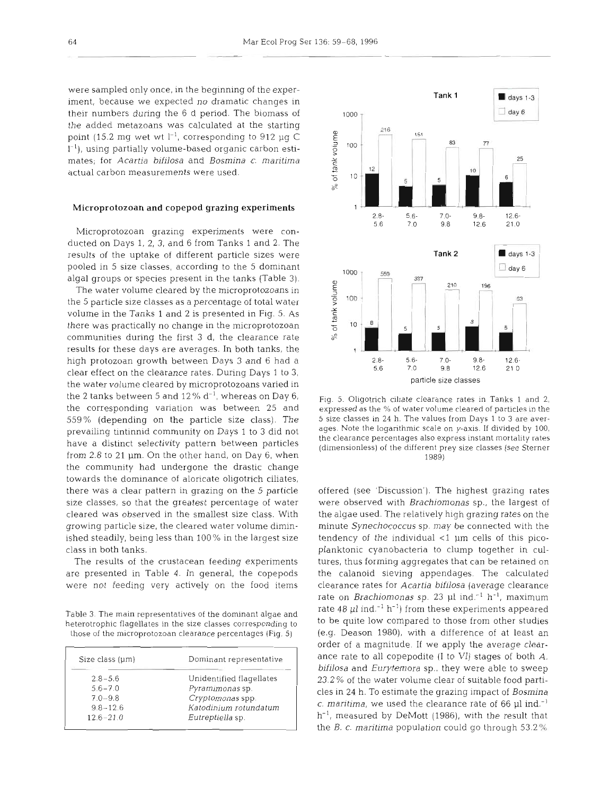were sampled only once, In the beginning of the experiment, because we expected no dramatic changes in their numbers during the 6 d period. The biomass of the added metazoans was calculated at the starting point (15.2 mg wet wt  $l^{-1}$ , corresponding to 912 µg C  $1^{-1}$ ), using partially volume-based organic carbon estimates; for Acartia bifilosa and Bosmina c. maritima actual carbon measurements were used.

## Microprotozoan and copepod grazing experiments

Microprotozoan grazing experiments were conducted on Days 1, 2, 3, and 6 from Tanks 1 and 2. The results of the uptake of different particle sizes were pooled in 5 size classes, according to the 5 dominant algal groups or species present in the tanks (Table 3).

The water volume cleared by the microprotozoans in the 5 particle size classes as a percentage of total water volume in the Tanks 1 and 2 is presented in Fig. 5. As there was practically no change in the microprotozoan communities during the first **3** d, the clearance rate results for these days are averages. In both tanks, the high protozoan growth between Days 3 and 6 had a clear effect on the clearance rates. During Days 1 to 3, the water volume cleared by microprotozoans varied in the 2 tanks between 5 and 12%  $d^{-1}$ , whereas on Day 6, the corresponding variation was between 25 and 559% (depending on the particle size class). The prevailing tintinnid community on Days 1 to 3 did not have a distinct selectivity pattern between particles from 2.8 to 21 pm. On the other hand, on Day 6, when the community had undergone the drastic change towards the dominance of aloricate oligotrich ciliates, there was a clear pattern in grazing on the 5 particle size classes, so that the greatest percentage of water cleared was observed in the smallest size class. With growing particle size, the cleared water volume diminished steadily, being less than 100% in the largest size class in both tanks.

The results of the crustacean feeding experiments are presented in Table 4. In general, the copepods were not feeding very actively on the food items

Table 3. The main representatives of the dominant algae and heterotrophic flagellates in the size classes corresponding to those of the microprotozoan clearance percentages (Fig. 5)

| Size class (um) | Dominant representative  |  |
|-----------------|--------------------------|--|
| $2.8 - 5.6$     | Unidentified flagellates |  |
| $5.6 - 7.0$     | Pyramimonas sp.          |  |
| $7.0 - 9.8$     | Cryptomonas spp.         |  |
| $9.8 - 12.6$    | Katodinium rotundatum    |  |
| $12.6 - 21.0$   | Eutreptiella sp.         |  |



Fig. 5. Oligotrich ciliate clearance rates in Tanks 1 and 2, expressed as the % of water volume cleared of particles in the 5 size classes in **24** h. The values from Days 1 to 3 are averages. Note the logarithmic scale on y-axis. If divided by 100, the clearance percentages also express instant mortality rates (dimensionless) of the different prey size classes (see Sterner 1989)

offered (see 'Discussion'). The highest grazing rates were observed with Brachiomonas sp., the largest of the algae used. The relatively high grazing rates on the minute Synechococcus sp. may be connected with the tendency of the individual  $<$ 1  $\mu$ m cells of this picoplanktonic cyanobacteria to clump together in cultures, thus forming aggregates that can be retained on the calanoid sieving appendages. The calculated clearance rates for Acartia bifilosa (average clearance rate on *Brachiomonas* sp. 23 µl ind.<sup>-1</sup> h<sup>-1</sup>, maximum rate 48 µl ind.<sup>-1</sup> h<sup>-1</sup>) from these experiments appeared to be quite low compared to those from other studies (e,g. Deason 1980), with a difference of at least an order of a magnitude. If we apply the average clearance rate to all copepodite (I to VI) stages of both **A.**  bifilosa and Eurytemora sp., they were able to sweep 23.2 % of the water volume clear of suitable food particles in 24 h. To estimate the grazing impact of Bosmina c. maritima, we used the clearance rate of 66  $\mu$ l ind.<sup>-1</sup>  $h^{-1}$ , measured by DeMott (1986), with the result that the *B. c. maritima* population could go through  $53.2\%$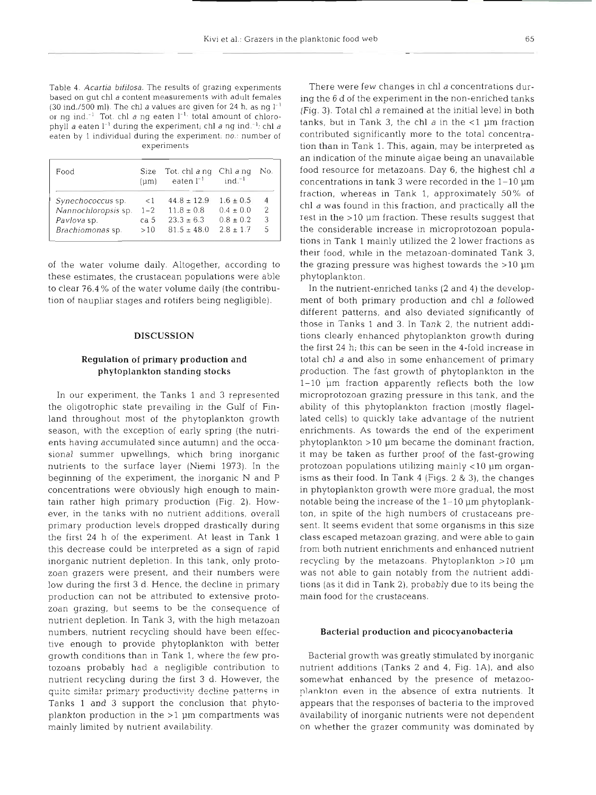Table 4. Acartia *bifilosa.* The results of grazing experiments based on gut chl a content measurements with adult females (30 ind./500 ml). The chl a values are given for 24 h, as ng  $I^{-1}$ or ng ind.<sup>-1</sup> Tot. chl a ng eaten  $l^{-1}$  total amount of chlorophyll a eaten  $I^{-1}$  during the experiment; chl a ng ind.<sup>-1</sup>: chl a eaten by 1 individual during the experiment, no.: number of experiments

| Food                | (num)   | Size Tot. chl ang Chl ang<br>eaten $l^{-1}$ | $ind-1$       | No. |
|---------------------|---------|---------------------------------------------|---------------|-----|
| Synechococcus sp.   | $\lt1$  | $44.8 \pm 12.9$                             | $1.6 \pm 0.5$ | 4   |
| Nannochloropsis sp. | $1 - 2$ | $11.8 \pm 0.8$                              | $0.4 \pm 0.0$ | 2   |
| Pavlova sp.         | ca 5    | $23.3 \pm 6.3$                              | $0.8 + 0.2$   | 3   |
| Brachiomonas sp.    | >10     | $81.5 \pm 48.0$                             | $2.8 \pm 1.7$ | 5   |

of the water volume daily. Altogether, according to these estimates, the crustacean populations were able to clear 76.4 % of the water volume daily (the contribution of naupliar stages and rotifers being negligible).

# **DISCUSSION**

# Regulation of primary production and phytoplankton standing stocks

In our experiment, the Tanks 1 and 3 represented the oligotrophic state prevailing in the Gulf of Finland throughout most of the phytoplankton growth season, with the exception of early spring (the nutrients having accumulated since autumn) and the occasional summer upwellings, which bring inorganic nutrients to the surface layer (Niemi 1973). In the beginning of the experiment, the inorganic N and P concentrations were obviously high enough to maintain rather high primary production (Fig. 2). However, in the tanks with no nutrient additions, overall primary production levels dropped drastically during the first 24 h of the experiment. At least in Tank 1 this decrease could be interpreted as a sign of rapid inorganic nutrient depletion. In this tank, only protozoan grazers were present, and their numbers were low during the first 3 d. Hence, the decline in primary production can not be attributed to extensive protozoan grazing, but seems to be the consequence of nutrient depletion. In Tank 3, with the high metazoan numbers, nutrient recycling should have been effective enough to provide phytoplankton with better growth conditions than in Tank 1, where the few protozoans probably had a negligible contribution to nutrient recycling during the first 3 d. However, the  $r_{\text{unit}}$  similar primary productivity decline patterns in Tanks 1 and 3 support the conclusion that phytoplankton production in the  $>1$  µm compartments was mainly limited by nutrient availability.

There were few changes in chl a concentrations during the 6 d of the experiment in the non-enriched tanks (Fig. 3). Total chl a remained at the initial level in both tanks, but in Tank 3, the chl  $a$  in the  $\lt 1$  µm fraction contributed significantly more to the total concentration than in Tank 1. This, again, may be interpreted as an indication of the minute algae being an unavailable food resource for metazoans. Day 6, the highest chl a concentrations in tank 3 were recorded in the 1-10  $\mu$ m fraction, whereas in Tank 1, approximately 50% of chl a was found in this fraction, and practically all the rest in the >l0 pm fraction. These results suggest that the considerable increase in microprotozoan populations in Tank 1 mainly utilized the 2 lower fractions as their food, while in the metazoan-dominated Tank 3, the grazing pressure was highest towards the  $>10 \mu m$ phytoplankton.

In the nutrient-enriched tanks (2 and 4) the development of both primary production and chl a followed different patterns, and also deviated significantly of those in Tanks 1 and **3.** In Tank 2, the nutrient additions clearly enhanced phytoplankton growth during the first 24 h; this can be seen in the 4-fold increase in total chl a and also in some enhancement of primary production. The fast growth of phytoplankton in the 1-10 im fraction apparently reflects both the low microprotozoan grazing pressure in this tank, and the ability of this phytoplankton fraction (mostly flagellated cells) to quickly take advantage of the nutrient enrichments. As towards the end of the experiment  $phytoplankton > 10 \mu m$  became the dominant fraction, it may be taken as further proof of the fast-growing protozoan populations utilizing mainly  $<$ 10  $\mu$ m organisms as their food. In Tank 4 (Figs. 2 & 3), the changes in phytoplankton growth were more gradual, the most notable being the increase of the 1-10 pm phytoplankton, in spite of the high numbers of crustaceans present. It seems evident that some organisms in this size class escaped metazoan grazing, and were able to gain from both nutrient enrichments and enhanced nutrient recycling by the metazoans. Phytoplankton  $>10$  µm was not able to gain notably from the nutrient additions (as it did in Tank 2), probably due to its being the main food for the crustaceans.

#### Bacterial production and picocyanobacteria

Bacterial growth was greatly stimulated by inorganic nutrient additions (Tanks 2 and 4, Fig. lA), and also somewhat enhanced by the presence of metazoo<sup>p</sup>lankton even jn the absence of extra nutrients. It appears that the responses of bacteria to the improved availability of inorganic nutrients were not dependent on whether the grazer community was dominated by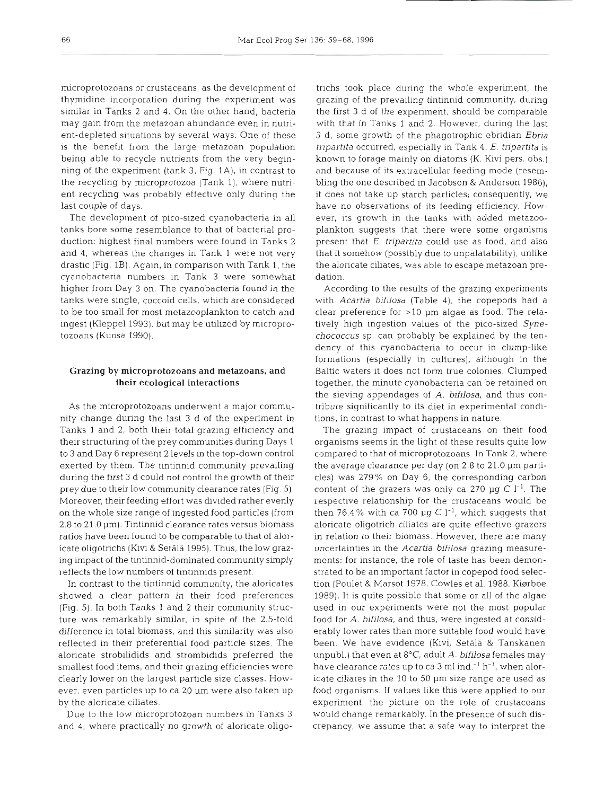microprotozoans or crustaceans, as the development of thymidine incorporation during the experiment was similar in Tanks 2 and 4. On the other hand, bacteria may gain from the metazoan abundance even in nutrient-depleted situations by several ways. One of these is the benefit from the large metazoan population being able to recycle nutrients from the very beginning of the experiment (tank 3, Fig. lA), in contrast to the recycling by microprotozoa (Tank l), where nutrient recycling was probably effective only during the last couple of days.

The development of pico-sized cyanobacteria in all tanks bore some resemblance to that of bacterial production: highest final numbers were found in Tanks 2 and 4, whereas the changes in Tank 1 were not very drastic (Fig. 1B). Again, in comparison with Tank 1, the cyanobacteria numbers in Tank 3 were somewhat higher from Day 3 on. The cyanobacteria found in the tanks were single, coccoid cells, which are considered to be too small for most metazooplankton to catch and ingest (Kleppel 1993), but may be utilized by microprotozoans (Kuosa 1990).

# Grazing by microprotozoans and metazoans, and their ecological interactions

As the microprotozoans underwent a major community change during the last **3** d of the experiment in Tanks 1 and **2,** both their total grazing efficiency and their structuring of the prey communities during Days 1 to 3 and Day 6 represent 2 levels in the top-down control exerted by them. The tintinnid community prevailing during the first 3 d could not control the growth of their prey due to their low community clearance rates (Fig. 5). Moreover, their feeding effort was divided rather evenly on the whole size range of ingested food particles (from  $2.8$  to  $21.0 \,\mathrm{\upmu m}$ ). Tintinnid clearance rates versus biomass ratios have been found to be comparable to that of aloricate oligotrichs (Kivi & Setala 1995). Thus, the low grazing impact of the tintinnid-dominated community simply reflects the low numbers of tintinnids present.

In contrast to the tintinnid community, the aloricates showed a clear pattern in their food preferences (Fig. 5). In both Tanks 1 and **2** their community structure was remarkably similar, in spite of the 2.5-fold difference in total biomass, and this similarity was also reflected in their preferential food particle sizes The aloricate strobilidids and strombidids preferred the smallest food items, and their grazing efficiencies were clearly lower on the largest particle size classes. However, even particles up to ca 20 µm were also taken up by the aloricate ciliates.

Due to the low microprotozoan numbers in Tanks 3 and 4, where practically no growth of aloricate oligo-

ichs took piace during the whole experiment. the characteristic ranging of the prevailing intinuited community, during<br>razing of the prevailing intinuited community, during<br>training of the prevailing intinuited community,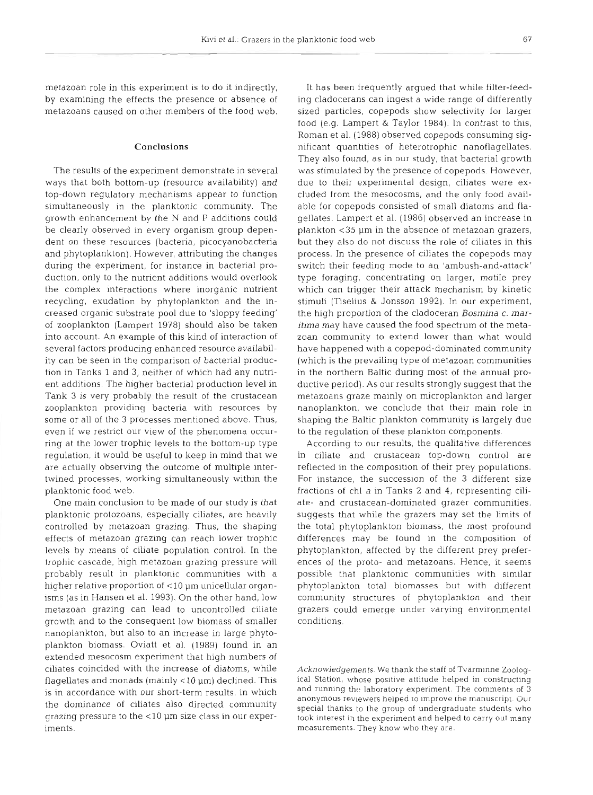metazoan role in this experiment is to do it indirectly, by examining the effects the presence or absence of metazoans caused on other members of the food web.

## Conclusions

The results of the experiment demonstrate in several ways that both bottom-up (resource availability) and top-down regulatory mechanisms appear to function simultaneously in the planktonic community. The growth enhancement by the N and P additions could be clearly observed in every organism group dependent on these resources (bacteria, picocyanobacteria and phytoplankton). However, attributing the changes during the experiment, for instance in bacterial production, only to the nutrient additions would overlook the complex interactions where inorganic nutrient recycling, exudation by phytoplankton and the increased organic substrate pool due to 'sloppy feeding' of zooplankton (Lampert 1978) should also be taken into account. An example of this kind of interaction of several factors producing enhanced resource availability can be seen in the comparison of bacterial production in Tanks 1 and 3, neither of which had any nutrient additions. The higher bacterial production level in Tank 3 is very probably the result of the crustacean zooplankton providing bacteria with resources by some or all of the 3 processes mentioned above. Thus, even if we restrict our view of the phenomena occurring at the lower trophic levels to the bottom-up type regulation, it would be useful to keep in mind that we are actually observing the outcome of multiple intertwined processes, working simultaneously within the planktonic food web.

One main conclusion to be made of our study is that planktonic protozoans, especially ciliates, are heavily controlled by metazoan grazing. Thus, the shaping effects of metazoan grazing can reach lower trophic levels by means of ciliate population control. In the trophic cascade, high metazoan grazing pressure will probably result in planktonic communities with a higher relative proportion of  $<$ 10  $\mu$ m unicellular organisms (as in Hansen et al. 1993). On the other hand, low metazoan grazing can lead to uncontrolled ciliate growth and to the consequent low biomass of smaller nanoplankton, but also to an increase in large phytoplankton biomass. Oviatt et al. (1989) found in an extended mesocosm experiment that high numbers of ciliates coincided with the increase of diatoms, while flagellates and monads (mainly  $<$  10  $\mu$ m) declined. This is in accordance with our short-term results, in which the dominance of ciliates also directed community grazing pressure to the  $<$ 10  $\mu$ m size class in our experiments.

It has been frequently argued that while filter-feeding cladocerans can ingest a wide range of differently sized particles, copepods show selectivity for larger food (e.g. Lampert & Taylor 1984). In contrast to this, Roman et al. (1988) observed copepods consuming significant quantities of heterotrophic nanoflagellates. They also found, as in our study, that bacterial growth was stimulated by the presence of copepods. However, due to their experimental design, ciliates were excluded from the mesocosms, and the only food available for copepods consisted of small diatoms and flagellates. Lampert et al. (1986) observed an increase in plankton <35 µm in the absence of metazoan grazers, but they also do not discuss the role of ciliates in this process. In the presence of ciliates the copepods may switch their feeding mode to an 'ambush-and-attack' type foraging, concentrating on larger, motile prey which can trigger their attack mechanism by kinetic stimuli (Tiselius & Jonsson 1992). In our experiment, the high proportion of the cladoceran **Bosmina** *c. mar***itima** may have caused the food spectrum of the metazoan community to extend lower than what would have happened with a copepod-dominated community (which is the prevailing type of metazoan communities in the northern Baltic during most of the annual productive period). As our results strongly suggest that the metazoans graze mainly on microplankton and larger nanoplankton, we conclude that their main role in shaping the Baltic plankton community is largely due to the regulation of these plankton components.

According to our results, the qualitative differences in ciliate and crustacean top-down control are reflected in the composition of their prey populations. For instance, the succession of the **3** different size fractions of chl a in Tanks 2 and 4, representing ciliate- and crustacean-dominated grazer communities, suggests that while the grazers may set the limits of the total phytoplankton biomass, the most profound differences may be found in the composition of phytoplankton, affected by the different prey preferences of the proto- and metazoans. Hence, it seems possible that planktonic communities with similar phytoplankton total biomasses but with different community structures of phytoplankton and their grazers could emerge under varying environmental conditions.

Acknowledgements. We thank the staff of Tvärminne Zoological Station, whose positive attitude helped in constructing and running the laboratory experiment. The comments of 3 anonymous reviewers neipea to Improve the manuscript. Our special thanks to the group of undergraduate students who took interest in the experiment and helped to carry out many measurements. They know who they are